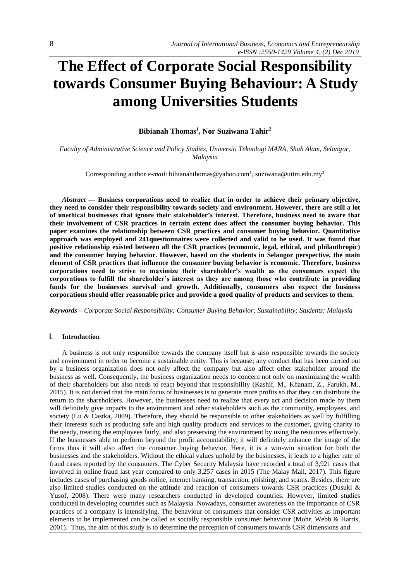# **The Effect of Corporate Social Responsibility towards Consumer Buying Behaviour: A Study among Universities Students**

**Bibianah Thomas***<sup>1</sup>* **, Nor Suziwana Tahir***<sup>2</sup>*

*Faculty of Administrative Science and Policy Studies, Universiti Teknologi MARA, Shah Alam, Selangor, Malaysia*

Corresponding author e-mail: [bibianahthomas@yahoo.com](mailto:bibianahthomas@yahoo.com1)<sup>1</sup>, suziwana@uitm.edu.my<sup>2</sup>

*Abstract —* **Business corporations need to realize that in order to achieve their primary objective, they need to consider their responsibility towards society and environment. However, there are still a lot of unethical businesses that ignore their stakeholder's interest. Therefore, business need to aware that their involvement of CSR practices in certain extent does affect the consumer buying behavior. This paper examines the relationship between CSR practices and consumer buying behavior. Quantitative approach was employed and 241questionnaires were collected and valid to be used. It was found that positive relationship existed between all the CSR practices (economic, legal, ethical, and philanthropic) and the consumer buying behavior. However, based on the students in Selangor perspective, the main element of CSR practices that influence the consumer buying behavior is economic. Therefore, business corporations need to strive to maximize their shareholder's wealth as the consumers expect the corporations to fulfill the shareholder's interest as they are among those who contribute in providing funds for the businesses survival and growth. Additionally, consumers also expect the business corporations should offer reasonable price and provide a good quality of products and services to them.**

*Keywords – Corporate Social Responsibility; Consumer Buying Behavior; Sustainability; Students; Malaysia*

## **I. Introduction**

A business is not only responsible towards the company itself but is also responsible towards the society and environment in order to become a sustainable entity. This is because; any conduct that has been carried out by a business organization does not only affect the company but also affect other stakeholder around the business as well. Consequently, the business organization needs to concern not only on maximizing the wealth of their shareholders but also needs to react beyond that responsibility (Kashif, M., Khanam, Z., Farukh, M., 2015). It is not denied that the main focus of businesses is to generate more profits so that they can distribute the return to the shareholders. However, the businesses need to realize that every act and decision made by them will definitely give impacts to the environment and other stakeholders such as the community, employees, and society (Lu & Castka, 2009). Therefore, they should be responsible to other stakeholders as well by fulfilling their interests such as producing safe and high quality products and services to the customer, giving charity to the needy, treating the employees fairly, and also preserving the environment by using the resources effectively. If the businesses able to perform beyond the profit accountability, it will definitely enhance the image of the firms thus it will also affect the consumer buying behavior. Here, it is a win-win situation for both the businesses and the stakeholders. Without the ethical values uphold by the businesses, it leads to a higher rate of fraud cases reported by the consumers. The Cyber Security Malaysia have recorded a total of 3,921 cases that involved in online fraud last year compared to only 3,257 cases in 2015 (The Malay Mail, 2017). This figure includes cases of purchasing goods online, internet banking, transaction, phishing, and scams. Besides, there are also limited studies conducted on the attitude and reaction of consumers towards CSR practices (Dusuki & Yusof, 2008). There were many researchers conducted in developed countries. However, limited studies conducted in developing countries such as Malaysia. Nowadays, consumer awareness on the importance of CSR practices of a company is intensifying. The behaviour of consumers that consider CSR activities as important elements to be implemented can be called as socially responsible consumer behaviour (Mohr, Webb & Harris, 2001). Thus, the aim of this study is to determine the perception of consumers towards CSR dimensions and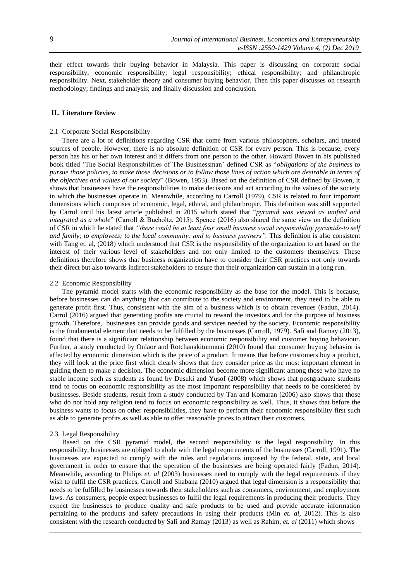their effect towards their buying behavior in Malaysia. This paper is discussing on corporate social responsibility; economic responsibility; legal responsibility; ethical responsibility; and philanthropic responsibility. Next, stakeholder theory and consumer buying behavior. Then this paper discusses on research methodology; findings and analysis; and finally discussion and conclusion.

## **II. Literature Review**

#### 2.1 Corporate Social Responsibility

There are a lot of definitions regarding CSR that come from various philosophers, scholars, and trusted sources of people. However, there is no absolute definition of CSR for every person. This is because, every person has his or her own interest and it differs from one person to the other. Howard Bowen in his published book titled 'The Social Responsibilities of The Businessman' defined CSR as "*obligations of the business to pursue those policies, to make those decisions or to follow those lines of action which are desirable in terms of the objectives and values of our society*" (Bowen, 1953). Based on the definition of CSR defined by Bowen, it shows that businesses have the responsibilities to make decisions and act according to the values of the society in which the businesses operate in. Meanwhile, according to Carroll (1979), CSR is related to four important dimensions which comprises of economic, legal, ethical, and philanthropic. This definition was still supported by Carrol until his latest article published in 2015 which stated that "*pyramid was viewed as unified and integrated as a whole*" (Carroll & Bucholtz, 2015). Spence (2016) also shared the same view on the definition of CSR in which he stated that *"there could be at least four small business social responsibility pyramids-to self and family; to employees; to the local community; and to business partners".* This definition is also consistent with Tang et. al, (2018) which understood that CSR is the responsibility of the organization to act based on the interest of their various level of stakeholders and not only limited to the customers themselves. These definitions therefore shows that business organization have to consider their CSR practices not only towards their direct but also towards indirect stakeholders to ensure that their organization can sustain in a long run.

#### 2.2 Economic Responsibility

The pyramid model starts with the economic responsibility as the base for the model. This is because, before businesses can do anything that can contribute to the society and environment, they need to be able to generate profit first. Thus, consistent with the aim of a business which is to obtain revenues (Fadun, 2014). Carrol (2016) argued that generating profits are crucial to reward the investors and for the purpose of business growth. Therefore, businesses can provide goods and services needed by the society. Economic responsibility is the fundamental element that needs to be fulfilled by the businesses (Carroll, 1979). Safi and Ramay (2013), found that there is a significant relationship between economic responsibility and customer buying behaviour. Further, a study conducted by Onlaor and Rotchanakitumnuai (2010) found that consumer buying behavior is affected by economic dimension which is the price of a product. It means that before customers buy a product, they will look at the price first which clearly shows that they consider price as the most important element in guiding them to make a decision. The economic dimension become more significant among those who have no stable income such as students as found by Dusuki and Yusof (2008) which shows that postgraduate students tend to focus on economic responsibility as the most important responsibility that needs to be considered by businesses. Beside students, result from a study conducted by Tan and Komaran (2006) also shows that those who do not hold any religion tend to focus on economic responsibility as well. Thus, it shows that before the business wants to focus on other responsibilities, they have to perform their economic responsibility first such as able to generate profits as well as able to offer reasonable prices to attract their customers.

#### 2.3 Legal Responsibility

Based on the CSR pyramid model, the second responsibility is the legal responsibility. In this responsibility, businesses are obliged to abide with the legal requirements of the businesses (Carroll, 1991). The businesses are expected to comply with the rules and regulations imposed by the federal, state, and local government in order to ensure that the operation of the businesses are being operated fairly (Fadun, 2014). Meanwhile, according to Philips *et. al* (2003) businesses need to comply with the legal requirements if they wish to fulfil the CSR practices. Carroll and Shabana (2010) argued that legal dimension is a responsibility that needs to be fulfilled by businesses towards their stakeholders such as consumers, environment, and employment laws. As consumers, people expect businesses to fulfil the legal requirements in producing their products. They expect the businesses to produce quality and safe products to be used and provide accurate information pertaining to the products and safety precautions in using their products (Min *et. al*, 2012). This is also consistent with the research conducted by Safi and Ramay (2013) as well as Rahim, *et. al* (2011) which shows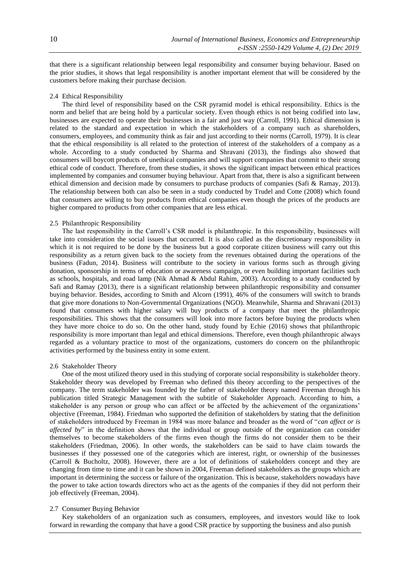that there is a significant relationship between legal responsibility and consumer buying behaviour. Based on the prior studies, it shows that legal responsibility is another important element that will be considered by the customers before making their purchase decision.

## 2.4 Ethical Responsibility

The third level of responsibility based on the CSR pyramid model is ethical responsibility. Ethics is the norm and belief that are being hold by a particular society. Even though ethics is not being codified into law, businesses are expected to operate their businesses in a fair and just way (Carroll, 1991). Ethical dimension is related to the standard and expectation in which the stakeholders of a company such as shareholders, consumers, employees, and community think as fair and just according to their norms (Carroll, 1979). It is clear that the ethical responsibility is all related to the protection of interest of the stakeholders of a company as a whole. According to a study conducted by Sharma and Shravani (2013), the findings also showed that consumers will boycott products of unethical companies and will support companies that commit to their strong ethical code of conduct. Therefore, from these studies, it shows the significant impact between ethical practices implemented by companies and consumer buying behaviour. Apart from that, there is also a significant between ethical dimension and decision made by consumers to purchase products of companies (Safi & Ramay, 2013). The relationship between both can also be seen in a study conducted by Trudel and Cotte (2008) which found that consumers are willing to buy products from ethical companies even though the prices of the products are higher compared to products from other companies that are less ethical.

#### 2.5 Philanthropic Responsibility

The last responsibility in the Carroll's CSR model is philanthropic. In this responsibility, businesses will take into consideration the social issues that occurred. It is also called as the discretionary responsibility in which it is not required to be done by the business but a good corporate citizen business will carry out this responsibility as a return given back to the society from the revenues obtained during the operations of the business (Fadun, 2014). Business will contribute to the society in various forms such as through giving donation, sponsorship in terms of education or awareness campaign, or even building important facilities such as schools, hospitals, and road lamp (Nik Ahmad & Abdul Rahim, 2003). According to a study conducted by Safi and Ramay (2013), there is a significant relationship between philanthropic responsibility and consumer buying behavior. Besides, according to Smith and Alcorn (1991), 46% of the consumers will switch to brands that give more donations to Non-Governmental Organizations (NGO). Meanwhile, Sharma and Shravani (2013) found that consumers with higher salary will buy products of a company that meet the philanthropic responsibilities. This shows that the consumers will look into more factors before buying the products when they have more choice to do so. On the other hand, study found by Echie (2016) shows that philanthropic responsibility is more important than legal and ethical dimensions. Therefore, even though philanthropic always regarded as a voluntary practice to most of the organizations, customers do concern on the philanthropic activities performed by the business entity in some extent.

## 2.6 Stakeholder Theory

One of the most utilized theory used in this studying of corporate social responsibility is stakeholder theory. Stakeholder theory was developed by Freeman who defined this theory according to the perspectives of the company. The term stakeholder was founded by the father of stakeholder theory named Freeman through his publication titled Strategic Management with the subtitle of Stakeholder Approach. According to him, a stakeholder is any person or group who can affect or be affected by the achievement of the organizations' objective (Freeman, 1984). Friedman who supported the definition of stakeholders by stating that the definition of stakeholders introduced by Freeman in 1984 was more balance and broader as the word of "*can affect or is affected by*" in the definition shows that the individual or group outside of the organization can consider themselves to become stakeholders of the firms even though the firms do not consider them to be their stakeholders (Friedman, 2006). In other words, the stakeholders can be said to have claim towards the businesses if they possessed one of the categories which are interest, right, or ownership of the businesses (Carroll & Bucholtz, 2008). However, there are a lot of definitions of stakeholders concept and they are changing from time to time and it can be shown in 2004, Freeman defined stakeholders as the groups which are important in determining the success or failure of the organization. This is because, stakeholders nowadays have the power to take action towards directors who act as the agents of the companies if they did not perform their job effectively (Freeman, 2004).

#### 2.7 Consumer Buying Behavior

Key stakeholders of an organization such as consumers, employees, and investors would like to look forward in rewarding the company that have a good CSR practice by supporting the business and also punish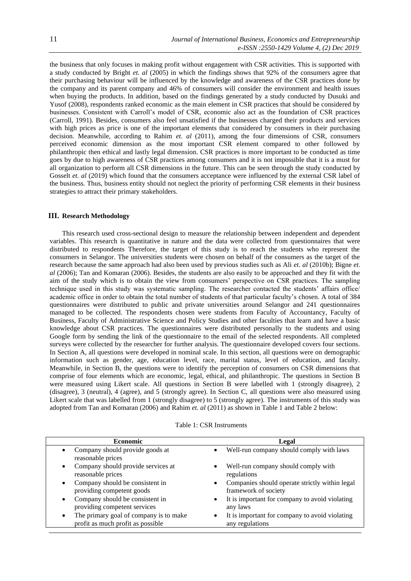the business that only focuses in making profit without engagement with CSR activities. This is supported with a study conducted by Bright *et. al* (2005) in which the findings shows that 92% of the consumers agree that their purchasing behaviour will be influenced by the knowledge and awareness of the CSR practices done by the company and its parent company and 46% of consumers will consider the environment and health issues when buying the products. In addition, based on the findings generated by a study conducted by Dusuki and Yusof (2008), respondents ranked economic as the main element in CSR practices that should be considered by businesses. Consistent with Carroll's model of CSR, economic also act as the foundation of CSR practices (Carroll, 1991). Besides, consumers also feel unsatisfied if the businesses charged their products and services with high prices as price is one of the important elements that considered by consumers in their purchasing decision. Meanwhile, according to Rahim *et. al* (2011), among the four dimensions of CSR, consumers perceived economic dimension as the most important CSR element compared to other followed by philanthropic then ethical and lastly legal dimension. CSR practices is more important to be conducted as time goes by due to high awareness of CSR practices among consumers and it is not impossible that it is a must for all organization to perform all CSR dimensions in the future. This can be seen through the study conducted by Gosselt *et. al* (2019) which found that the consumers acceptance were influenced by the external CSR label of the business. Thus, business entity should not neglect the priority of performing CSR elements in their business strategies to attract their primary stakeholders.

## **III. Research Methodology**

This research used cross-sectional design to measure the relationship between independent and dependent variables. This research is quantitative in nature and the data were collected from questionnaires that were distributed to respondents Therefore, the target of this study is to reach the students who represent the consumers in Selangor. The universities students were chosen on behalf of the consumers as the target of the research because the same approach had also been used by previous studies such as Ali *et. al* (2010b); Bigne *et. al* (2006); Tan and Komaran (2006). Besides, the students are also easily to be approached and they fit with the aim of the study which is to obtain the view from consumers' perspective on CSR practices. The sampling technique used in this study was systematic sampling. The researcher contacted the students' affairs office/ academic office in order to obtain the total number of students of that particular faculty's chosen. A total of 384 questionnaires were distributed to public and private universities around Selangor and 241 questionnaires managed to be collected. The respondents chosen were students from Faculty of Accountancy, Faculty of Business, Faculty of Administrative Science and Policy Studies and other faculties that learn and have a basic knowledge about CSR practices. The questionnaires were distributed personally to the students and using Google form by sending the link of the questionnaire to the email of the selected respondents. All completed surveys were collected by the researcher for further analysis. The questionnaire developed covers four sections. In Section A, all questions were developed in nominal scale. In this section, all questions were on demographic information such as gender, age, education level, race, marital status, level of education, and faculty. Meanwhile, in Section B, the questions were to identify the perception of consumers on CSR dimensions that comprise of four elements which are economic, legal, ethical, and philanthropic. The questions in Section B were measured using Likert scale. All questions in Section B were labelled with 1 (strongly disagree), 2 (disagree), 3 (neutral), 4 (agree), and 5 (strongly agree). In Section C, all questions were also measured using Likert scale that was labelled from 1 (strongly disagree) to 5 (strongly agree). The instruments of this study was adopted from Tan and Komaran (2006) and Rahim *et. al* (2011) as shown in Table 1 and Table 2 below:

| Table 1: CSR Instruments |  |  |
|--------------------------|--|--|
|                          |  |  |

| <b>Economic</b>                                                   | Legal                                          |
|-------------------------------------------------------------------|------------------------------------------------|
| Company should provide goods at<br>$\bullet$<br>reasonable prices | Well-run company should comply with laws       |
| Company should provide services at                                | Well-run company should comply with            |
| $\bullet$                                                         | $\bullet$                                      |
| reasonable prices                                                 | regulations                                    |
| Company should be consistent in                                   | Companies should operate strictly within legal |
| $\bullet$                                                         | $\bullet$                                      |
| providing competent goods                                         | framework of society                           |
| Company should be consistent in                                   | It is important for company to avoid violating |
| ٠                                                                 | $\bullet$                                      |
| providing competent services                                      | any laws                                       |
| The primary goal of company is to make                            | It is important for company to avoid violating |
| $\bullet$                                                         | $\bullet$                                      |
| profit as much profit as possible                                 | any regulations                                |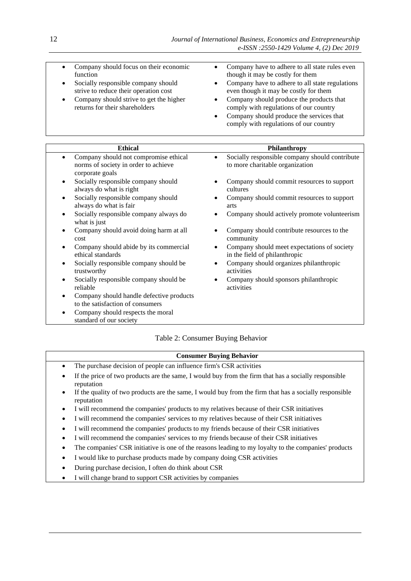| $\bullet$<br>$\bullet$ | Company should focus on their economic<br>function<br>Socially responsible company should<br>strive to reduce their operation cost<br>Company should strive to get the higher<br>returns for their shareholders | Company have to adhere to all state rules even<br>though it may be costly for them<br>Company have to adhere to all state regulations<br>$\bullet$<br>even though it may be costly for them<br>Company should produce the products that<br>$\bullet$<br>comply with regulations of our country<br>Company should produce the services that<br>$\bullet$<br>comply with regulations of our country |
|------------------------|-----------------------------------------------------------------------------------------------------------------------------------------------------------------------------------------------------------------|---------------------------------------------------------------------------------------------------------------------------------------------------------------------------------------------------------------------------------------------------------------------------------------------------------------------------------------------------------------------------------------------------|
|                        |                                                                                                                                                                                                                 |                                                                                                                                                                                                                                                                                                                                                                                                   |

| <b>Ethical</b>                                                                                        | <b>Philanthropy</b>                                                                       |
|-------------------------------------------------------------------------------------------------------|-------------------------------------------------------------------------------------------|
| Company should not compromise ethical<br>٠<br>norms of society in order to achieve<br>corporate goals | Socially responsible company should contribute<br>to more charitable organization         |
| Socially responsible company should<br>$\bullet$<br>always do what is right                           | Company should commit resources to support<br>cultures                                    |
| Socially responsible company should<br>$\bullet$<br>always do what is fair                            | Company should commit resources to support<br>٠<br>arts                                   |
| Socially responsible company always do<br>$\bullet$<br>what is just                                   | Company should actively promote volunteerism                                              |
| Company should avoid doing harm at all<br>$\bullet$<br>cost                                           | Company should contribute resources to the<br>community                                   |
| Company should abide by its commercial<br>$\bullet$<br>ethical standards                              | Company should meet expectations of society<br>$\bullet$<br>in the field of philanthropic |
| Socially responsible company should be<br>٠<br>trustworthy                                            | Company should organizes philanthropic<br>activities                                      |
| Socially responsible company should be<br>$\bullet$<br>reliable                                       | Company should sponsors philanthropic<br>activities                                       |
| Company should handle defective products<br>$\bullet$<br>to the satisfaction of consumers             |                                                                                           |
| Company should respects the moral<br>٠<br>standard of our society                                     |                                                                                           |

# Table 2: Consumer Buying Behavior

# **Consumer Buying Behavior**

- The purchase decision of people can influence firm's CSR activities
- If the price of two products are the same, I would buy from the firm that has a socially responsible reputation
- If the quality of two products are the same, I would buy from the firm that has a socially responsible reputation
- I will recommend the companies' products to my relatives because of their CSR initiatives
- I will recommend the companies' services to my relatives because of their CSR initiatives
- I will recommend the companies' products to my friends because of their CSR initiatives
- I will recommend the companies' services to my friends because of their CSR initiatives
- The companies' CSR initiative is one of the reasons leading to my loyalty to the companies' products
- I would like to purchase products made by company doing CSR activities
- During purchase decision, I often do think about CSR
- I will change brand to support CSR activities by companies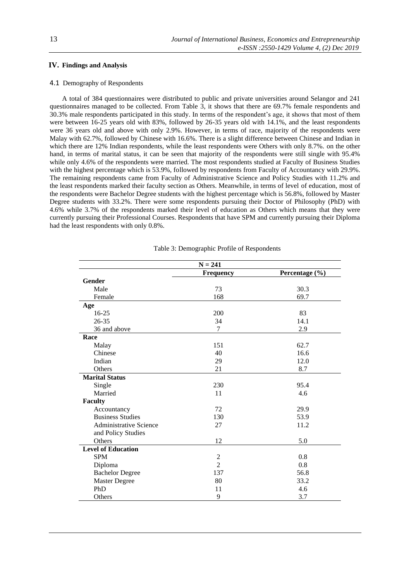# **IV. Findings and Analysis**

## 4.1 Demography of Respondents

A total of 384 questionnaires were distributed to public and private universities around Selangor and 241 questionnaires managed to be collected. From Table 3, it shows that there are 69.7% female respondents and 30.3% male respondents participated in this study. In terms of the respondent's age, it shows that most of them were between 16-25 years old with 83%, followed by 26-35 years old with 14.1%, and the least respondents were 36 years old and above with only 2.9%. However, in terms of race, majority of the respondents were Malay with 62.7%, followed by Chinese with 16.6%. There is a slight difference between Chinese and Indian in which there are 12% Indian respondents, while the least respondents were Others with only 8.7%. on the other hand, in terms of marital status, it can be seen that majority of the respondents were still single with 95.4% while only 4.6% of the respondents were married. The most respondents studied at Faculty of Business Studies with the highest percentage which is 53.9%, followed by respondents from Faculty of Accountancy with 29.9%. The remaining respondents came from Faculty of Administrative Science and Policy Studies with 11.2% and the least respondents marked their faculty section as Others. Meanwhile, in terms of level of education, most of the respondents were Bachelor Degree students with the highest percentage which is 56.8%, followed by Master Degree students with 33.2%. There were some respondents pursuing their Doctor of Philosophy (PhD) with 4.6% while 3.7% of the respondents marked their level of education as Others which means that they were currently pursuing their Professional Courses. Respondents that have SPM and currently pursuing their Diploma had the least respondents with only 0.8%.

|                               | $N = 241$        |                |
|-------------------------------|------------------|----------------|
|                               | <b>Frequency</b> | Percentage (%) |
| Gender                        |                  |                |
| Male                          | 73               | 30.3           |
| Female                        | 168              | 69.7           |
| Age                           |                  |                |
| $16-25$                       | 200              | 83             |
| $26 - 35$                     | 34               | 14.1           |
| 36 and above                  | $\tau$           | 2.9            |
| Race                          |                  |                |
| Malay                         | 151              | 62.7           |
| Chinese                       | 40               | 16.6           |
| Indian                        | 29               | 12.0           |
| Others                        | 21               | 8.7            |
| <b>Marital Status</b>         |                  |                |
| Single                        | 230              | 95.4           |
| Married                       | 11               | 4.6            |
| <b>Faculty</b>                |                  |                |
| Accountancy                   | 72               | 29.9           |
| <b>Business Studies</b>       | 130              | 53.9           |
| <b>Administrative Science</b> | 27               | 11.2           |
| and Policy Studies            |                  |                |
| Others                        | 12               | 5.0            |
| <b>Level of Education</b>     |                  |                |
| <b>SPM</b>                    | $\overline{c}$   | 0.8            |
| Diploma                       | $\overline{2}$   | 0.8            |
| <b>Bachelor Degree</b>        | 137              | 56.8           |
| Master Degree                 | 80               | 33.2           |
| PhD                           | 11               | 4.6            |
| Others                        | 9                | 3.7            |

Table 3: Demographic Profile of Respondents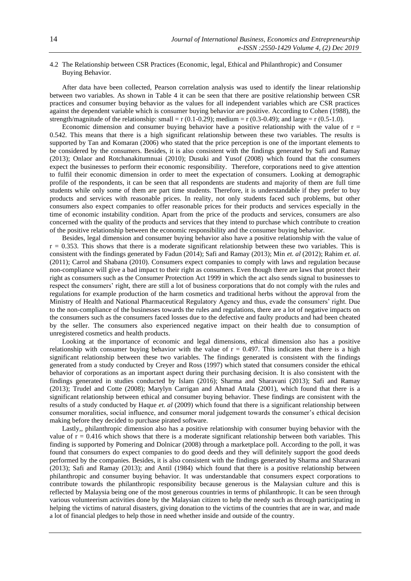# 4.2 The Relationship between CSR Practices (Economic, legal, Ethical and Philanthropic) and Consumer Buying Behavior.

After data have been collected, Pearson correlation analysis was used to identify the linear relationship between two variables. As shown in Table 4 it can be seen that there are positive relationship between CSR practices and consumer buying behavior as the values for all independent variables which are CSR practices against the dependent variable which is consumer buying behavior are positive. According to Cohen (1988), the strength/magnitude of the relationship: small = r  $(0.1-0.29)$ ; medium = r  $(0.3-0.49)$ ; and large = r  $(0.5-1.0)$ .

Economic dimension and consumer buying behavior have a positive relationship with the value of  $r =$ 0.542. This means that there is a high significant relationship between these two variables. The results is supported by Tan and Komaran (2006) who stated that the price perception is one of the important elements to be considered by the consumers. Besides, it is also consistent with the findings generated by Safi and Ramay (2013); Onlaor and Rotchanakitumnuai (2010); Dusuki and Yusof (2008) which found that the consumers expect the businesses to perform their economic responsibility. Therefore, corporations need to give attention to fulfil their economic dimension in order to meet the expectation of consumers. Looking at demographic profile of the respondents, it can be seen that all respondents are students and majority of them are full time students while only some of them are part time students. Therefore, it is understandable if they prefer to buy products and services with reasonable prices. In reality, not only students faced such problems, but other consumers also expect companies to offer reasonable prices for their products and services especially in the time of economic instability condition. Apart from the price of the products and services, consumers are also concerned with the quality of the products and services that they intend to purchase which contribute to creation of the positive relationship between the economic responsibility and the consumer buying behavior.

Besides, legal dimension and consumer buying behavior also have a positive relationship with the value of  $r = 0.353$ . This shows that there is a moderate significant relationship between these two variables. This is consistent with the findings generated by Fadun (2014); Safi and Ramay (2013); Min *et. al* (2012); Rahim *et. al*. (2011); Carrol and Shabana (2010). Consumers expect companies to comply with laws and regulation because non-compliance will give a bad impact to their right as consumers. Even though there are laws that protect their right as consumers such as the Consumer Protection Act 1999 in which the act also sends signal to businesses to respect the consumers' right, there are still a lot of business corporations that do not comply with the rules and regulations for example production of the harm cosmetics and traditional herbs without the approval from the Ministry of Health and National Pharmaceutical Regulatory Agency and thus, evade the consumers' right. Due to the non-compliance of the businesses towards the rules and regulations, there are a lot of negative impacts on the consumers such as the consumers faced losses due to the defective and faulty products and had been cheated by the seller. The consumers also experienced negative impact on their health due to consumption of unregistered cosmetics and health products.

Looking at the importance of economic and legal dimensions, ethical dimension also has a positive relationship with consumer buying behavior with the value of  $r = 0.497$ . This indicates that there is a high significant relationship between these two variables. The findings generated is consistent with the findings generated from a study conducted by Creyer and Ross (1997) which stated that consumers consider the ethical behavior of corporations as an important aspect during their purchasing decision. It is also consistent with the findings generated in studies conducted by Islam (2016); Sharma and Sharavani (2013); Safi and Ramay (2013); Trudel and Cotte (2008); Marylyn Carrigan and Ahmad Attala (2001), which found that there is a significant relationship between ethical and consumer buying behavior. These findings are consistent with the results of a study conducted by Haque *et. al* (2009) which found that there is a significant relationship between consumer moralities, social influence, and consumer moral judgement towards the consumer's ethical decision making before they decided to purchase pirated software.

Lastly,, philanthropic dimension also has a positive relationship with consumer buying behavior with the value of  $r = 0.416$  which shows that there is a moderate significant relationship between both variables. This finding is supported by Pomering and Dolnicar (2008) through a marketplace poll. According to the poll, it was found that consumers do expect companies to do good deeds and they will definitely support the good deeds performed by the companies. Besides, it is also consistent with the findings generated by Sharma and Sharavani (2013); Safi and Ramay (2013); and Antil (1984) which found that there is a positive relationship between philanthropic and consumer buying behavior. It was understandable that consumers expect corporations to contribute towards the philanthropic responsibility because generous is the Malaysian culture and this is reflected by Malaysia being one of the most generous countries in terms of philanthropic. It can be seen through various volunteerism activities done by the Malaysian citizen to help the needy such as through participating in helping the victims of natural disasters, giving donation to the victims of the countries that are in war, and made a lot of financial pledges to help those in need whether inside and outside of the country.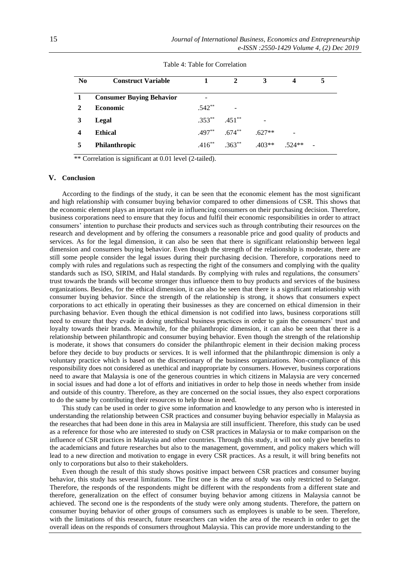| N <sub>0</sub> | <b>Construct Variable</b>       |           | $\mathfrak{D}$                      | 3        | 4        | 5 |
|----------------|---------------------------------|-----------|-------------------------------------|----------|----------|---|
|                | <b>Consumer Buying Behavior</b> |           |                                     |          |          |   |
| $\mathbf{2}$   | <b>Economic</b>                 | $.542**$  | -                                   |          |          |   |
| 3              | Legal                           | $.353***$ | $.451***$                           |          |          |   |
|                | <b>Ethical</b>                  |           | $.497***$ 674**                     | $.627**$ |          |   |
|                | Philanthropic                   |           | $.416^{**}$ $.363^{**}$ $.403^{**}$ |          | $.524**$ |   |

Table 4: Table for Correlation

\*\* Correlation is significant at 0.01 level (2-tailed).

# **V. Conclusion**

According to the findings of the study, it can be seen that the economic element has the most significant and high relationship with consumer buying behavior compared to other dimensions of CSR. This shows that the economic element plays an important role in influencing consumers on their purchasing decision. Therefore, business corporations need to ensure that they focus and fulfil their economic responsibilities in order to attract consumers' intention to purchase their products and services such as through contributing their resources on the research and development and by offering the consumers a reasonable price and good quality of products and services. As for the legal dimension, it can also be seen that there is significant relationship between legal dimension and consumers buying behavior. Even though the strength of the relationship is moderate, there are still some people consider the legal issues during their purchasing decision. Therefore, corporations need to comply with rules and regulations such as respecting the right of the consumers and complying with the quality standards such as ISO, SIRIM, and Halal standards. By complying with rules and regulations, the consumers' trust towards the brands will become stronger thus influence them to buy products and services of the business organizations. Besides, for the ethical dimension, it can also be seen that there is a significant relationship with consumer buying behavior. Since the strength of the relationship is strong, it shows that consumers expect corporations to act ethically in operating their businesses as they are concerned on ethical dimension in their purchasing behavior. Even though the ethical dimension is not codified into laws, business corporations still need to ensure that they evade in doing unethical business practices in order to gain the consumers' trust and loyalty towards their brands. Meanwhile, for the philanthropic dimension, it can also be seen that there is a relationship between philanthropic and consumer buying behavior. Even though the strength of the relationship is moderate, it shows that consumers do consider the philanthropic element in their decision making process before they decide to buy products or services. It is well informed that the philanthropic dimension is only a voluntary practice which is based on the discretionary of the business organizations. Non-compliance of this responsibility does not considered as unethical and inappropriate by consumers. However, business corporations need to aware that Malaysia is one of the generous countries in which citizens in Malaysia are very concerned in social issues and had done a lot of efforts and initiatives in order to help those in needs whether from inside and outside of this country. Therefore, as they are concerned on the social issues, they also expect corporations to do the same by contributing their resources to help those in need.

This study can be used in order to give some information and knowledge to any person who is interested in understanding the relationship between CSR practices and consumer buying behavior especially in Malaysia as the researches that had been done in this area in Malaysia are still insufficient. Therefore, this study can be used as a reference for those who are interested to study on CSR practices in Malaysia or to make comparison on the influence of CSR practices in Malaysia and other countries. Through this study, it will not only give benefits to the academicians and future researches but also to the management, government, and policy makers which will lead to a new direction and motivation to engage in every CSR practices. As a result, it will bring benefits not only to corporations but also to their stakeholders.

Even though the result of this study shows positive impact between CSR practices and consumer buying behavior, this study has several limitations. The first one is the area of study was only restricted to Selangor. Therefore, the responds of the respondents might be different with the respondents from a different state and therefore, generalization on the effect of consumer buying behavior among citizens in Malaysia cannot be achieved. The second one is the respondents of the study were only among students. Therefore, the pattern on consumer buying behavior of other groups of consumers such as employees is unable to be seen. Therefore, with the limitations of this research, future researchers can widen the area of the research in order to get the overall ideas on the responds of consumers throughout Malaysia. This can provide more understanding to the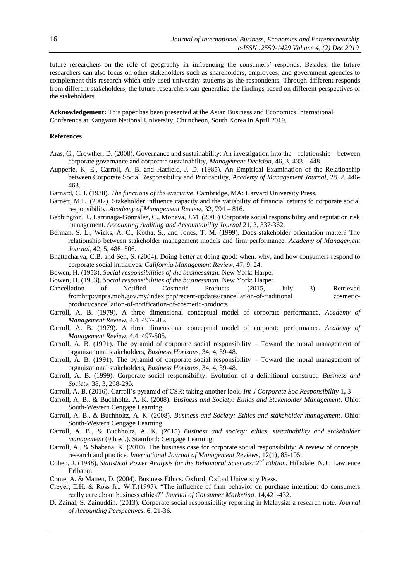future researchers on the role of geography in influencing the consumers' responds. Besides, the future researchers can also focus on other stakeholders such as shareholders, employees, and government agencies to complement this research which only used university students as the respondents. Through different responds from different stakeholders, the future researchers can generalize the findings based on different perspectives of the stakeholders.

**Acknowledgement:** This paper has been presented at the Asian Business and Economics International Conference at Kangwon National University, Chuncheon, South Korea in April 2019.

#### **References**

- [Aras,](http://www.emeraldinsight.com/author/Aras%2C+G%C3%BCler) G., [Crowther,](http://www.emeraldinsight.com/author/Crowther%2C+David) D. (2008). Governance and sustainability: An investigation into the relationship between corporate governance and corporate sustainability, *Management Decision*, 46, 3, 433 – 448.
- Aupperle, K. E., Carroll, A. B. and Hatfield, J. D. (1985). An Empirical Examination of the Relationship between Corporate Social Responsibility and Profitability, *Academy of Management Journal*, 28, 2, 446- 463.
- Barnard, C. I. (1938). *The functions of the executive*. Cambridge, MA: Harvard University Press.
- Barnett, M.L. (2007). Stakeholder influence capacity and the variability of financial returns to corporate social responsibility. *Academy of Management Review*, 32, 794 – 816.
- Bebbington, J., Larrinaga-González, C., Moneva, J.M. (2008) Corporate social responsibility and reputation risk management. *Accounting Auditing and Accountability Journal* 21, 3, 337-362.
- Berman, S. L., Wicks, A. C., Kotha, S., and Jones, T. M. (1999). Does stakeholder orientation matter? The relationship between stakeholder management models and firm performance. *Academy of Management Journal*, 42, 5, 488–506.
- Bhattacharya, C.B. and Sen, S. (2004). Doing better at doing good: when. why, and how consumers respond to corporate social initiatives. *California Management Review*, 47, 9–24.
- Bowen, H. (1953). *Social responsibilities of the businessman.* New York: Harper
- Bowen, H. (1953). *Social responsibilities of the businessman.* New York: Harper
- Cancellation of Notified Cosmetic Products. (2015, July 3). Retrieved fromhttp://npra.moh.gov.my/index.php/recent-updates/cancellation-of-traditional cosmeticproduct/cancellation-of-notification-of-cosmetic-products
- Carroll, A. B. (1979). A three dimensional conceptual model of corporate performance. *Academy of Management Review*, 4,4: 497-505.
- Carroll, A. B. (1979). A three dimensional conceptual model of corporate performance. *Academy of Management Review*, 4,4: 497-505.
- Carroll, A. B. (1991). The pyramid of corporate social responsibility Toward the moral management of organizational stakeholders, *Business Horizons*, 34, 4, 39-48.
- Carroll, A. B. (1991). The pyramid of corporate social responsibility Toward the moral management of organizational stakeholders, *Business Horizons*, 34, 4, 39-48.
- Carroll, A. B. (1999). Corporate social responsibility: Evolution of a definitional construct, *Business and Society*, 38, 3, 268-295.
- Carroll, A. B. (2016). Carroll's pyramid of CSR: taking another look. *Int J Corporate Soc Responsibility* 1**,** 3
- Carroll, A. B., & Buchholtz, A. K. (2008). *Business and Society: Ethics and Stakeholder Management*. Ohio: South-Western Cengage Learning.
- Carroll, A. B., & Buchholtz, A. K. (2008). *Business and Society: Ethics and stakeholder management*. Ohio: South-Western Cengage Learning.
- Carroll, A. B., & Buchholtz, A. K. (2015). *Business and society: ethics, sustainability and stakeholder management* (9th ed.). Stamford: Cengage Learning.
- Carroll, A., & Shabana, K. (2010). The business case for corporate social responsibility: A review of concepts, research and practice*. International Journal of Management Reviews*, 12(1), 85-105.
- Cohen, J. (1988), *Statistical Power Analysis for the Behavioral Sciences, 2nd Edition.* Hillsdale, N.J.: Lawrence Erlbaum.
- Crane, A. & Matten, D. (2004). Business Ethics. Oxford: Oxford University Press.
- Creyer, E.H. & Ross Jr., W.T.(1997). "The influence of firm behavior on purchase intention: do consumers really care about business ethics?" *Journal of Consumer Marketing,* 14,421-432.
- D. Zainal, S. Zainuddin. (2013). Corporate social responsibility reporting in Malaysia: a research note*. Journal of Accounting Perspectives*. 6, 21-36.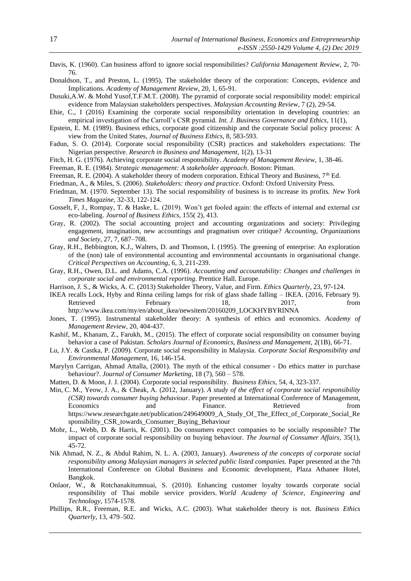- Davis, K. (1960). Can business afford to ignore social responsibilities? *California Management Review*, 2, 70- 76.
- Donaldson, T., and Preston, L. (1995), The stakeholder theory of the corporation: Concepts, evidence and Implications. *Academy of Management Review*, 20, 1, 65-91.
- Dusuki,A.W. & Mohd Yusof,T.F.M.T. (2008). The pyramid of corporate social responsibility model: empirical evidence from Malaysian stakeholders perspectives. *Malaysian Accounting Review*, 7 (2), 29-54.
- Ehie, C., I (2016) Examining the corporate social responsibility orientation in developing countries: an empirical investigation of the Carroll's CSR pyramid. *Int. J. Business Governance and Ethics*, 11(1),
- Epstein, E. M. (1989). Business ethics, corporate good citizenship and the corporate Social policy process: A view from the United States, *Journal of Business Ethics*, 8, 583-593.
- Fadun, S. O. (2014). Corporate social responsibility (CSR) practices and stakeholders expectations: The Nigerian perspective. *Research in Business and Management*, 1(2), 13-31
- Fitch, H. G. (1976). Achieving corporate social responsibility. *Academy of Management Review*, 1, 38-46.
- Freeman, R. E. (1984). *Strategic management: A stakeholder approach*. Boston: Pitman.
- Freeman, R. E. (2004). A stakeholder theory of modern corporation. Ethical Theory and Business, 7<sup>th</sup> Ed.
- Friedman, A., & Miles, S. (2006). *Stakeholders: theory and practice*. Oxford: Oxford University Press.
- Friedman, M. (1970. September 13). The social responsibility of business is to increase its profits. *New York Times Magazine*, 32-33, 122-124.
- Gosselt, F, J., Rompay, T. & Haske, L. (2019). Won't get fooled again: the effects of internal and external csr eco-labeling. *Journal of Business Ethics*, 155( 2), 413.
- Gray, R. (2002). The social accounting project and accounting organizations and society: Privileging engagement, imagination, new accountings and pragmatism over critique? *Accounting, Organizations and Society*, 27, 7, 687–708.
- Gray, R.H., Bebbington, K.J., Walters, D. and Thomson, I. (1995). The greening of enterprise: An exploration of the (non) tale of environmental accounting and environmental accountants in organisational change. *Critical Perspectives on Accounting*, 6, 3, 211-239.
- Gray, R.H., Owen, D.L. and Adams, C.A. (1996). *Accounting and accountability: Changes and challenges in corporate social and environmental reporting*. Prentice Hall. Europe.
- Harrison, J. S., & Wicks, A. C. (2013) Stakeholder Theory, Value, and Firm. *Ethics Quarterly*, 23, 97-124.
- IKEA recalls Lock, Hyby and Rinna ceiling lamps for risk of glass shade falling IKEA. (2016, February 9). Retrieved February 18, 2017, from http://www.ikea.com/my/en/about\_ikea/newsitem/20160209\_LOCKHYBYRINNA
- Jones, T. (1995). Instrumental stakeholder theory: A synthesis of ethics and economics. *Academy of Management Review*, 20, 404-437.
- Kashif, M., Khanam, Z., Farukh, M., (2015). The effect of corporate social responsibility on consumer buying behavior a case of Pakistan. *Scholars Journal of Economics, Business and Management,* 2(1B), 66-71.
- Lu, J.Y. & Castka, P. (2009). Corporate social responsibility in Malaysia. *Corporate Social Responsibility and Environmental Management*, 16, 146-154.
- Marylyn Carrigan, Ahmad Attalla, (2001). The myth of the ethical consumer Do ethics matter in purchase behaviour?. *Journal of Consumer Marketing*, 18 (7), 560 – 578.
- Matten, D. & Moon, J. J. (2004). Corporate social responsibility. *Business Ethics*, 54, 4, 323-337.
- Min, C. M., Yeow, J. A., & Cheak, A. (2012, January). *A study of the effect of corporate social responsibility (CSR) towards consumer buying behaviour*. Paper presented at International Conference of Management, Economics and Finance. Retrieved from https://www.researchgate.net/publication/249649009\_A\_Study\_Of\_The\_Effect\_of\_Corporate\_Social\_Re sponsibility\_CSR\_towards\_Consumer\_Buying\_Behaviour
- Mohr, L., Webb, D. & Harris, K. (2001). Do consumers expect companies to be socially responsible? The impact of corporate social responsibility on buying behaviour. *The Journal of Consumer Affairs*, 35(1), 45-72.
- Nik Ahmad, N. Z., & Abdul Rahim, N. L. A. (2003, January). *Awareness of the concepts of corporate social responsibility among Malaysian managers in selected public listed companies.* Paper presented at the 7th International Conference on Global Business and Economic development*,* Plaza Athanee Hotel, Bangkok.
- Onlaor, W., & Rotchanakitumnuai, S. (2010). Enhancing customer loyalty towards corporate social responsibility of Thai mobile service providers. *World Academy of Science, Engineering and Technology*, 1574-1578.
- Phillips, R.R., Freeman, R.E. and Wicks, A.C. (2003). What stakeholder theory is not*. Business Ethics Quarterly*, 13, 479–502.